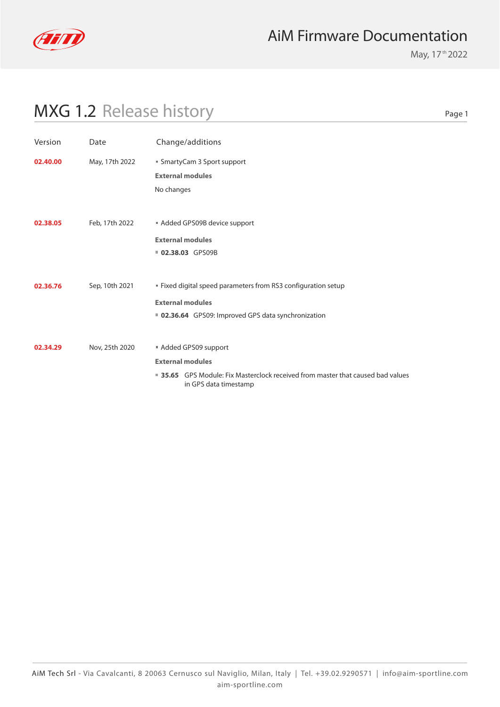

May, 17<sup>th</sup> 2022

Page 1

| Version  | Date           | Change/additions                                                                                                                                           |
|----------|----------------|------------------------------------------------------------------------------------------------------------------------------------------------------------|
| 02.40.00 | May, 17th 2022 | ■ SmartyCam 3 Sport support<br><b>External modules</b><br>No changes                                                                                       |
| 02.38.05 | Feb, 17th 2022 | Added GPS09B device support<br><b>External modules</b><br>02.38.03 GPS09B                                                                                  |
| 02.36.76 | Sep, 10th 2021 | " Fixed digital speed parameters from RS3 configuration setup<br><b>External modules</b><br>■ 02.36.64 GPS09: Improved GPS data synchronization            |
| 02.34.29 | Nov, 25th 2020 | Added GPS09 support<br><b>External modules</b><br>■ 35.65 GPS Module: Fix Masterclock received from master that caused bad values<br>in GPS data timestamp |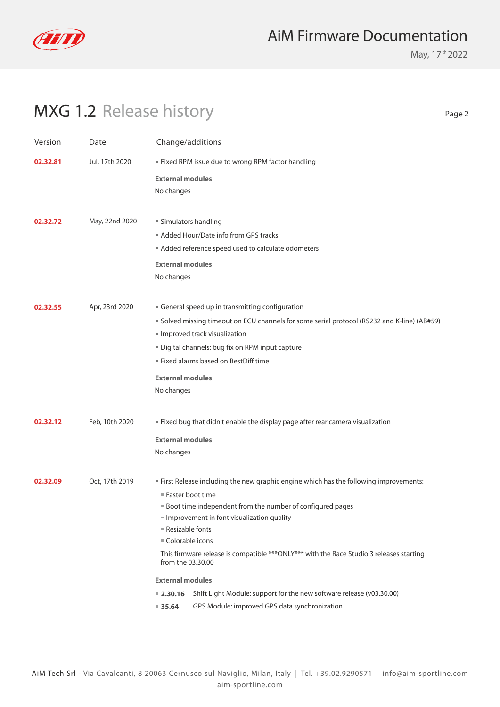

May, 17<sup>th</sup> 2022

# MXG 1.2 Release history

Page 2

| Version                    | Date           | Change/additions                                                                                              |  |
|----------------------------|----------------|---------------------------------------------------------------------------------------------------------------|--|
| Jul, 17th 2020<br>02.32.81 |                | " Fixed RPM issue due to wrong RPM factor handling                                                            |  |
|                            |                | <b>External modules</b>                                                                                       |  |
|                            |                | No changes                                                                                                    |  |
|                            |                |                                                                                                               |  |
| 02.32.72                   | May, 22nd 2020 | ■ Simulators handling                                                                                         |  |
|                            |                | Added Hour/Date info from GPS tracks                                                                          |  |
|                            |                | Added reference speed used to calculate odometers                                                             |  |
|                            |                | <b>External modules</b>                                                                                       |  |
|                            |                | No changes                                                                                                    |  |
|                            |                |                                                                                                               |  |
| 02.32.55                   | Apr, 23rd 2020 | General speed up in transmitting configuration                                                                |  |
|                            |                | Solved missing timeout on ECU channels for some serial protocol (RS232 and K-line) (AB#59)                    |  |
|                            |                | Improved track visualization                                                                                  |  |
|                            |                | " Digital channels: bug fix on RPM input capture                                                              |  |
|                            |                | " Fixed alarms based on BestDiff time                                                                         |  |
|                            |                | <b>External modules</b>                                                                                       |  |
|                            |                |                                                                                                               |  |
|                            |                | No changes                                                                                                    |  |
|                            |                |                                                                                                               |  |
| 02.32.12                   | Feb, 10th 2020 | " Fixed bug that didn't enable the display page after rear camera visualization                               |  |
|                            |                | <b>External modules</b>                                                                                       |  |
|                            |                | No changes                                                                                                    |  |
|                            |                |                                                                                                               |  |
| 02.32.09                   | Oct, 17th 2019 | " First Release including the new graphic engine which has the following improvements:                        |  |
|                            |                | ■ Faster boot time                                                                                            |  |
|                            |                | <b>Boot time independent from the number of configured pages</b>                                              |  |
|                            |                | Improvement in font visualization quality                                                                     |  |
|                            |                | ■ Resizable fonts                                                                                             |  |
|                            |                | ■ Colorable icons                                                                                             |  |
|                            |                | This firmware release is compatible *** ONLY*** with the Race Studio 3 releases starting<br>from the 03.30.00 |  |
|                            |                | <b>External modules</b>                                                                                       |  |
|                            |                | Shift Light Module: support for the new software release (v03.30.00)<br>$= 2.30.16$                           |  |
|                            |                | GPS Module: improved GPS data synchronization<br>$= 35.64$                                                    |  |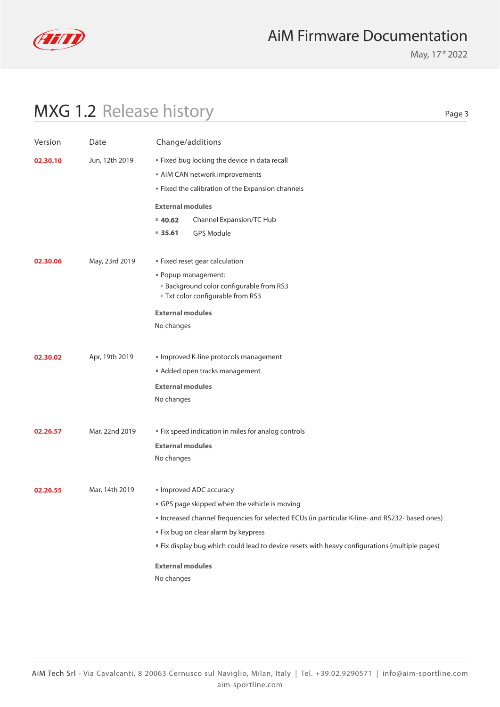

May, 17<sup>th</sup> 2022

| .,<br>×<br>۰. | × |
|---------------|---|
|               |   |

| Version  | Date           | Change/additions                                                                                |  |  |  |
|----------|----------------|-------------------------------------------------------------------------------------------------|--|--|--|
| 02.30.10 | Jun, 12th 2019 | " Fixed bug locking the device in data recall                                                   |  |  |  |
|          |                | AIM CAN network improvements                                                                    |  |  |  |
|          |                | " Fixed the calibration of the Expansion channels                                               |  |  |  |
|          |                | <b>External modules</b>                                                                         |  |  |  |
|          |                | Channel Expansion/TC Hub<br>40.62                                                               |  |  |  |
|          |                | $= 35.61$<br><b>GPS Module</b>                                                                  |  |  |  |
| 02.30.06 | May, 23rd 2019 | " Fixed reset gear calculation                                                                  |  |  |  |
|          |                | " Popup management:                                                                             |  |  |  |
|          |                | <b>Background color configurable from RS3</b>                                                   |  |  |  |
|          |                | " Txt color configurable from RS3                                                               |  |  |  |
|          |                | <b>External modules</b>                                                                         |  |  |  |
|          |                | No changes                                                                                      |  |  |  |
|          |                |                                                                                                 |  |  |  |
| 02.30.02 | Apr, 19th 2019 | Improved K-line protocols management                                                            |  |  |  |
|          |                | Added open tracks management                                                                    |  |  |  |
|          |                | <b>External modules</b>                                                                         |  |  |  |
|          |                | No changes                                                                                      |  |  |  |
|          |                |                                                                                                 |  |  |  |
| 02.26.57 | Mar, 22nd 2019 | " Fix speed indication in miles for analog controls                                             |  |  |  |
|          |                | <b>External modules</b><br>No changes                                                           |  |  |  |
|          |                |                                                                                                 |  |  |  |
| 02.26.55 | Mar, 14th 2019 | Improved ADC accuracy                                                                           |  |  |  |
|          |                | GPS page skipped when the vehicle is moving                                                     |  |  |  |
|          |                | " Increased channel frequencies for selected ECUs (in particular K-line- and RS232- based ones) |  |  |  |
|          |                | " Fix bug on clear alarm by keypress                                                            |  |  |  |
|          |                | " Fix display bug which could lead to device resets with heavy configurations (multiple pages)  |  |  |  |
|          |                | <b>External modules</b>                                                                         |  |  |  |
|          |                | No changes                                                                                      |  |  |  |
|          |                |                                                                                                 |  |  |  |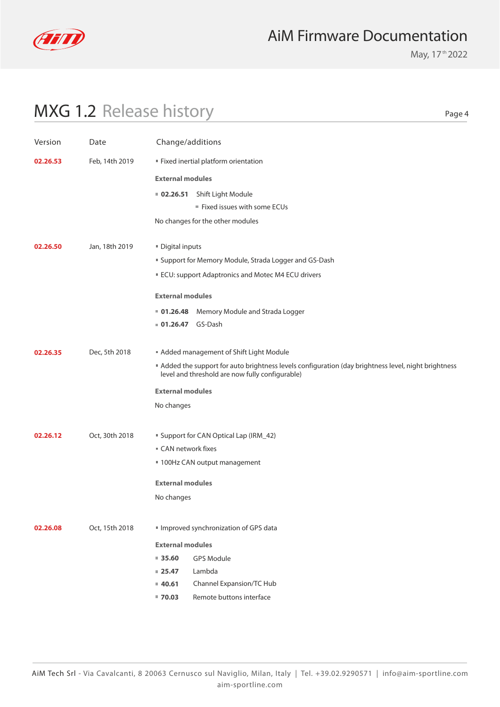

May, 17<sup>th</sup> 2022

Page 4

| Version                    | Date           | Change/additions        |                                                                                                                                                       |
|----------------------------|----------------|-------------------------|-------------------------------------------------------------------------------------------------------------------------------------------------------|
| 02.26.53<br>Feb, 14th 2019 |                |                         | " Fixed inertial platform orientation                                                                                                                 |
|                            |                | <b>External modules</b> |                                                                                                                                                       |
|                            |                | 02.26.51                | Shift Light Module                                                                                                                                    |
|                            |                |                         | Fixed issues with some ECUs                                                                                                                           |
|                            |                |                         | No changes for the other modules                                                                                                                      |
| 02.26.50                   | Jan, 18th 2019 | Digital inputs          |                                                                                                                                                       |
|                            |                |                         | " Support for Memory Module, Strada Logger and GS-Dash                                                                                                |
|                            |                |                         | ECU: support Adaptronics and Motec M4 ECU drivers                                                                                                     |
|                            |                | <b>External modules</b> |                                                                                                                                                       |
|                            |                |                         | <b>01.26.48</b> Memory Module and Strada Logger                                                                                                       |
|                            |                | 01.26.47 GS-Dash        |                                                                                                                                                       |
| 02.26.35                   | Dec, 5th 2018  |                         | Added management of Shift Light Module                                                                                                                |
|                            |                |                         | Added the support for auto brightness levels configuration (day brightness level, night brightness<br>level and threshold are now fully configurable) |
|                            |                | <b>External modules</b> |                                                                                                                                                       |
|                            |                | No changes              |                                                                                                                                                       |
| 02.26.12                   | Oct, 30th 2018 |                         | <b>Support for CAN Optical Lap (IRM_42)</b>                                                                                                           |
|                            |                | ■ CAN network fixes     |                                                                                                                                                       |
|                            |                |                         | ■ 100Hz CAN output management                                                                                                                         |
|                            |                | <b>External modules</b> |                                                                                                                                                       |
|                            |                | No changes              |                                                                                                                                                       |
| 02.26.08                   | Oct, 15th 2018 |                         | Improved synchronization of GPS data                                                                                                                  |
|                            |                | <b>External modules</b> |                                                                                                                                                       |
|                            |                | 35.60                   | <b>GPS Module</b>                                                                                                                                     |
|                            |                | $= 25.47$               | Lambda                                                                                                                                                |
|                            |                | 40.61                   | Channel Expansion/TC Hub                                                                                                                              |
|                            |                | $= 70.03$               | Remote buttons interface                                                                                                                              |
|                            |                |                         |                                                                                                                                                       |